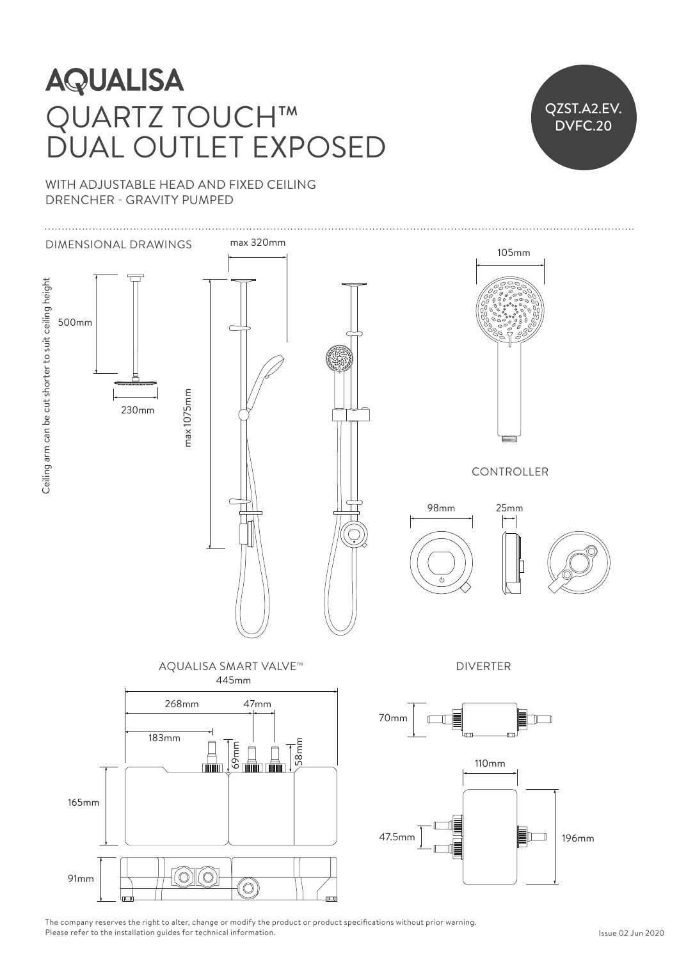## QUARTZ TOUCH™ DUAL OUTLET EXPOSED  $\frac{1}{\sqrt{2}}$



WITH ADJUSTABLE HEAD AND FIXED CEILING DRENCHER - GRAVITY PUMPED



The company reserves the right to alter, change or modify the product or product specifications without prior warning. Please refer to the installation guides for technical information.